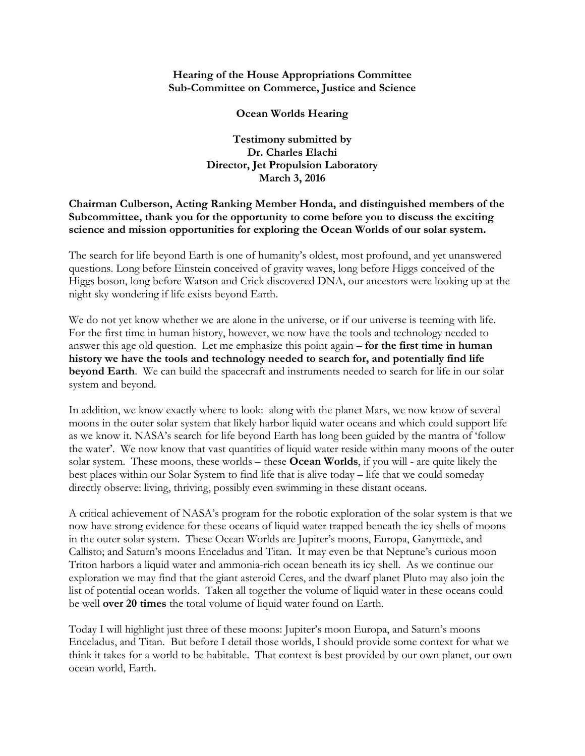## **Hearing of the House Appropriations Committee Sub-Committee on Commerce, Justice and Science**

**Ocean Worlds Hearing** 

**Testimony submitted by Dr. Charles Elachi Director, Jet Propulsion Laboratory March 3, 2016** 

## **Chairman Culberson, Acting Ranking Member Honda, and distinguished members of the Subcommittee, thank you for the opportunity to come before you to discuss the exciting science and mission opportunities for exploring the Ocean Worlds of our solar system.**

The search for life beyond Earth is one of humanity's oldest, most profound, and yet unanswered questions. Long before Einstein conceived of gravity waves, long before Higgs conceived of the Higgs boson, long before Watson and Crick discovered DNA, our ancestors were looking up at the night sky wondering if life exists beyond Earth.

We do not yet know whether we are alone in the universe, or if our universe is teeming with life. For the first time in human history, however, we now have the tools and technology needed to answer this age old question. Let me emphasize this point again – **for the first time in human history we have the tools and technology needed to search for, and potentially find life beyond Earth**. We can build the spacecraft and instruments needed to search for life in our solar system and beyond.

In addition, we know exactly where to look: along with the planet Mars, we now know of several moons in the outer solar system that likely harbor liquid water oceans and which could support life as we know it. NASA's search for life beyond Earth has long been guided by the mantra of 'follow the water'. We now know that vast quantities of liquid water reside within many moons of the outer solar system. These moons, these worlds – these **Ocean Worlds**, if you will - are quite likely the best places within our Solar System to find life that is alive today – life that we could someday directly observe: living, thriving, possibly even swimming in these distant oceans.

A critical achievement of NASA's program for the robotic exploration of the solar system is that we now have strong evidence for these oceans of liquid water trapped beneath the icy shells of moons in the outer solar system. These Ocean Worlds are Jupiter's moons, Europa, Ganymede, and Callisto; and Saturn's moons Enceladus and Titan. It may even be that Neptune's curious moon Triton harbors a liquid water and ammonia-rich ocean beneath its icy shell. As we continue our exploration we may find that the giant asteroid Ceres, and the dwarf planet Pluto may also join the list of potential ocean worlds. Taken all together the volume of liquid water in these oceans could be well **over 20 times** the total volume of liquid water found on Earth.

Today I will highlight just three of these moons: Jupiter's moon Europa, and Saturn's moons Enceladus, and Titan. But before I detail those worlds, I should provide some context for what we think it takes for a world to be habitable. That context is best provided by our own planet, our own ocean world, Earth.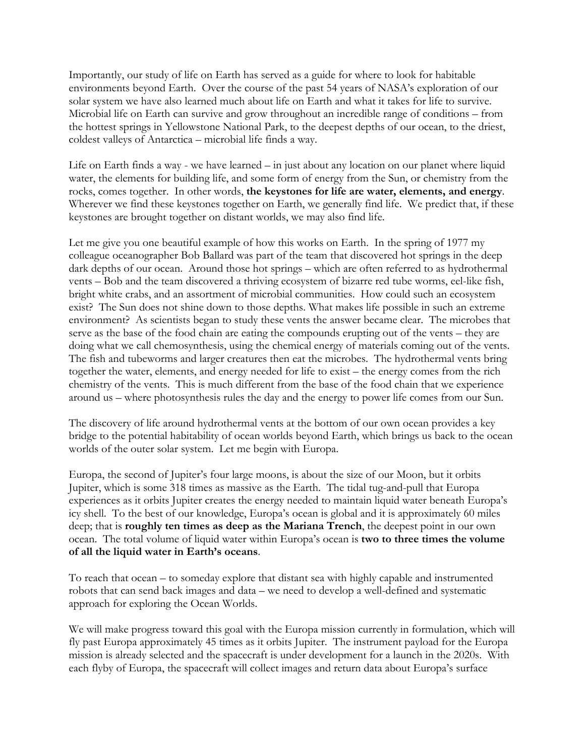Importantly, our study of life on Earth has served as a guide for where to look for habitable environments beyond Earth. Over the course of the past 54 years of NASA's exploration of our solar system we have also learned much about life on Earth and what it takes for life to survive. Microbial life on Earth can survive and grow throughout an incredible range of conditions – from the hottest springs in Yellowstone National Park, to the deepest depths of our ocean, to the driest, coldest valleys of Antarctica – microbial life finds a way.

Life on Earth finds a way - we have learned – in just about any location on our planet where liquid water, the elements for building life, and some form of energy from the Sun, or chemistry from the rocks, comes together. In other words, **the keystones for life are water, elements, and energy**. Wherever we find these keystones together on Earth, we generally find life. We predict that, if these keystones are brought together on distant worlds, we may also find life.

Let me give you one beautiful example of how this works on Earth. In the spring of 1977 my colleague oceanographer Bob Ballard was part of the team that discovered hot springs in the deep dark depths of our ocean. Around those hot springs – which are often referred to as hydrothermal vents – Bob and the team discovered a thriving ecosystem of bizarre red tube worms, eel-like fish, bright white crabs, and an assortment of microbial communities. How could such an ecosystem exist? The Sun does not shine down to those depths. What makes life possible in such an extreme environment? As scientists began to study these vents the answer became clear. The microbes that serve as the base of the food chain are eating the compounds erupting out of the vents – they are doing what we call chemosynthesis, using the chemical energy of materials coming out of the vents. The fish and tubeworms and larger creatures then eat the microbes. The hydrothermal vents bring together the water, elements, and energy needed for life to exist – the energy comes from the rich chemistry of the vents. This is much different from the base of the food chain that we experience around us – where photosynthesis rules the day and the energy to power life comes from our Sun.

The discovery of life around hydrothermal vents at the bottom of our own ocean provides a key bridge to the potential habitability of ocean worlds beyond Earth, which brings us back to the ocean worlds of the outer solar system. Let me begin with Europa.

Europa, the second of Jupiter's four large moons, is about the size of our Moon, but it orbits Jupiter, which is some 318 times as massive as the Earth. The tidal tug-and-pull that Europa experiences as it orbits Jupiter creates the energy needed to maintain liquid water beneath Europa's icy shell. To the best of our knowledge, Europa's ocean is global and it is approximately 60 miles deep; that is **roughly ten times as deep as the Mariana Trench**, the deepest point in our own ocean. The total volume of liquid water within Europa's ocean is **two to three times the volume of all the liquid water in Earth's oceans**.

To reach that ocean – to someday explore that distant sea with highly capable and instrumented robots that can send back images and data – we need to develop a well-defined and systematic approach for exploring the Ocean Worlds.

We will make progress toward this goal with the Europa mission currently in formulation, which will fly past Europa approximately 45 times as it orbits Jupiter. The instrument payload for the Europa mission is already selected and the spacecraft is under development for a launch in the 2020s. With each flyby of Europa, the spacecraft will collect images and return data about Europa's surface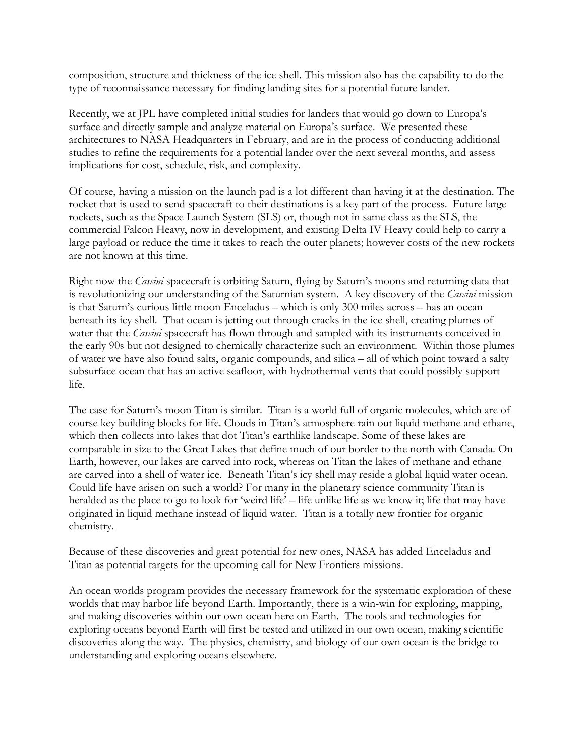composition, structure and thickness of the ice shell. This mission also has the capability to do the type of reconnaissance necessary for finding landing sites for a potential future lander.

Recently, we at JPL have completed initial studies for landers that would go down to Europa's surface and directly sample and analyze material on Europa's surface. We presented these architectures to NASA Headquarters in February, and are in the process of conducting additional studies to refine the requirements for a potential lander over the next several months, and assess implications for cost, schedule, risk, and complexity.

Of course, having a mission on the launch pad is a lot different than having it at the destination. The rocket that is used to send spacecraft to their destinations is a key part of the process. Future large rockets, such as the Space Launch System (SLS) or, though not in same class as the SLS, the commercial Falcon Heavy, now in development, and existing Delta IV Heavy could help to carry a large payload or reduce the time it takes to reach the outer planets; however costs of the new rockets are not known at this time.

Right now the *Cassini* spacecraft is orbiting Saturn, flying by Saturn's moons and returning data that is revolutionizing our understanding of the Saturnian system. A key discovery of the *Cassini* mission is that Saturn's curious little moon Enceladus – which is only 300 miles across – has an ocean beneath its icy shell. That ocean is jetting out through cracks in the ice shell, creating plumes of water that the *Cassini* spacecraft has flown through and sampled with its instruments conceived in the early 90s but not designed to chemically characterize such an environment. Within those plumes of water we have also found salts, organic compounds, and silica – all of which point toward a salty subsurface ocean that has an active seafloor, with hydrothermal vents that could possibly support life.

The case for Saturn's moon Titan is similar. Titan is a world full of organic molecules, which are of course key building blocks for life. Clouds in Titan's atmosphere rain out liquid methane and ethane, which then collects into lakes that dot Titan's earthlike landscape. Some of these lakes are comparable in size to the Great Lakes that define much of our border to the north with Canada. On Earth, however, our lakes are carved into rock, whereas on Titan the lakes of methane and ethane are carved into a shell of water ice. Beneath Titan's icy shell may reside a global liquid water ocean. Could life have arisen on such a world? For many in the planetary science community Titan is heralded as the place to go to look for 'weird life' – life unlike life as we know it; life that may have originated in liquid methane instead of liquid water. Titan is a totally new frontier for organic chemistry.

Because of these discoveries and great potential for new ones, NASA has added Enceladus and Titan as potential targets for the upcoming call for New Frontiers missions.

An ocean worlds program provides the necessary framework for the systematic exploration of these worlds that may harbor life beyond Earth. Importantly, there is a win-win for exploring, mapping, and making discoveries within our own ocean here on Earth. The tools and technologies for exploring oceans beyond Earth will first be tested and utilized in our own ocean, making scientific discoveries along the way. The physics, chemistry, and biology of our own ocean is the bridge to understanding and exploring oceans elsewhere.